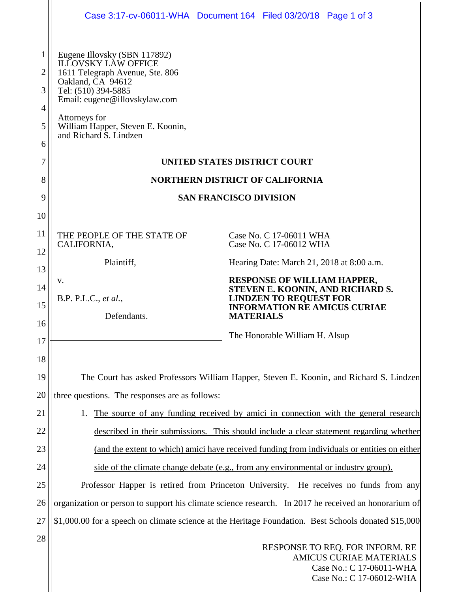|                                         |                                                                                                                                                                                                                                                            | Case 3:17-cv-06011-WHA Document 164 Filed 03/20/18 Page 1 of 3                                                                                 |
|-----------------------------------------|------------------------------------------------------------------------------------------------------------------------------------------------------------------------------------------------------------------------------------------------------------|------------------------------------------------------------------------------------------------------------------------------------------------|
| 1<br>$\overline{2}$<br>3<br>4<br>5<br>6 | Eugene Illovsky (SBN 117892)<br><b>ILLOVSKY LAW OFFICE</b><br>1611 Telegraph Avenue, Ste. 806<br>Oakland, CA 94612<br>Tel: (510) 394-5885<br>Email: eugene@illovskylaw.com<br>Attorneys for<br>William Happer, Steven E. Koonin,<br>and Richard S. Lindzen |                                                                                                                                                |
| 7                                       | UNITED STATES DISTRICT COURT                                                                                                                                                                                                                               |                                                                                                                                                |
| 8                                       | <b>NORTHERN DISTRICT OF CALIFORNIA</b>                                                                                                                                                                                                                     |                                                                                                                                                |
| 9                                       | <b>SAN FRANCISCO DIVISION</b>                                                                                                                                                                                                                              |                                                                                                                                                |
| 10                                      |                                                                                                                                                                                                                                                            |                                                                                                                                                |
| 11                                      | THE PEOPLE OF THE STATE OF                                                                                                                                                                                                                                 | Case No. C 17-06011 WHA                                                                                                                        |
| 12                                      | CALIFORNIA,                                                                                                                                                                                                                                                | Case No. C 17-06012 WHA                                                                                                                        |
| 13                                      | Plaintiff,                                                                                                                                                                                                                                                 | Hearing Date: March 21, 2018 at 8:00 a.m.                                                                                                      |
| 14                                      | v.<br>B.P. P.L.C., et al.,                                                                                                                                                                                                                                 | <b>RESPONSE OF WILLIAM HAPPER,</b><br>STEVEN E. KOONIN, AND RICHARD S.<br><b>LINDZEN TO REQUEST FOR</b><br><b>INFORMATION RE AMICUS CURIAE</b> |
| 15                                      |                                                                                                                                                                                                                                                            |                                                                                                                                                |
| 16                                      | Defendants.                                                                                                                                                                                                                                                | <b>MATERIALS</b>                                                                                                                               |
| 17                                      |                                                                                                                                                                                                                                                            | The Honorable William H. Alsup                                                                                                                 |
| 18                                      |                                                                                                                                                                                                                                                            |                                                                                                                                                |
| 19                                      | The Court has asked Professors William Happer, Steven E. Koonin, and Richard S. Lindzen                                                                                                                                                                    |                                                                                                                                                |
| 20                                      | three questions. The responses are as follows:                                                                                                                                                                                                             |                                                                                                                                                |
| 21                                      | The source of any funding received by amici in connection with the general research<br>1.                                                                                                                                                                  |                                                                                                                                                |
| 22                                      | described in their submissions. This should include a clear statement regarding whether                                                                                                                                                                    |                                                                                                                                                |
| 23                                      | (and the extent to which) amici have received funding from individuals or entities on either                                                                                                                                                               |                                                                                                                                                |
| 24                                      | side of the climate change debate (e.g., from any environmental or industry group).                                                                                                                                                                        |                                                                                                                                                |
| 25                                      | Professor Happer is retired from Princeton University. He receives no funds from any                                                                                                                                                                       |                                                                                                                                                |
| 26                                      | organization or person to support his climate science research. In 2017 he received an honorarium of                                                                                                                                                       |                                                                                                                                                |
| 27                                      | \$1,000.00 for a speech on climate science at the Heritage Foundation. Best Schools donated \$15,000                                                                                                                                                       |                                                                                                                                                |
| 28                                      | RESPONSE TO REQ. FOR INFORM. RE<br><b>AMICUS CURIAE MATERIALS</b><br>Case No.: C 17-06011-WHA                                                                                                                                                              |                                                                                                                                                |

Case No.: C 17-06012-WHA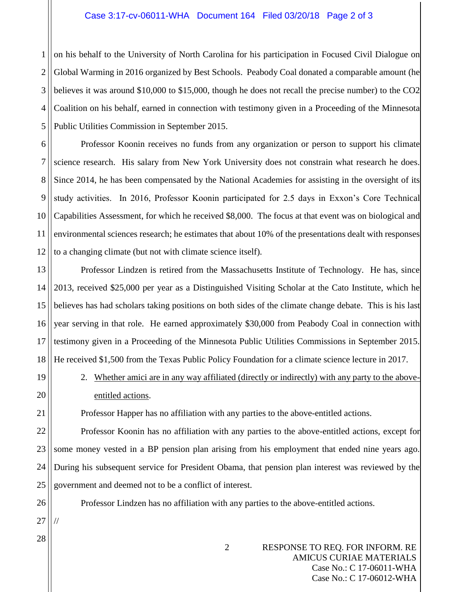## Case 3:17-cv-06011-WHA Document 164 Filed 03/20/18 Page 2 of 3

1 2 3 4 5 on his behalf to the University of North Carolina for his participation in Focused Civil Dialogue on Global Warming in 2016 organized by Best Schools. Peabody Coal donated a comparable amount (he believes it was around \$10,000 to \$15,000, though he does not recall the precise number) to the CO2 Coalition on his behalf, earned in connection with testimony given in a Proceeding of the Minnesota Public Utilities Commission in September 2015.

6 7 8 9 10 11 12 Professor Koonin receives no funds from any organization or person to support his climate science research. His salary from New York University does not constrain what research he does. Since 2014, he has been compensated by the National Academies for assisting in the oversight of its study activities. In 2016, Professor Koonin participated for 2.5 days in Exxon's Core Technical Capabilities Assessment, for which he received \$8,000. The focus at that event was on biological and environmental sciences research; he estimates that about 10% of the presentations dealt with responses to a changing climate (but not with climate science itself).

13 14 15 16 17 18 Professor Lindzen is retired from the Massachusetts Institute of Technology. He has, since 2013, received \$25,000 per year as a Distinguished Visiting Scholar at the Cato Institute, which he believes has had scholars taking positions on both sides of the climate change debate. This is his last year serving in that role. He earned approximately \$30,000 from Peabody Coal in connection with testimony given in a Proceeding of the Minnesota Public Utilities Commissions in September 2015. He received \$1,500 from the Texas Public Policy Foundation for a climate science lecture in 2017.

2. Whether amici are in any way affiliated (directly or indirectly) with any party to the aboveentitled actions.

Professor Happer has no affiliation with any parties to the above-entitled actions.

22 23 24 25 Professor Koonin has no affiliation with any parties to the above-entitled actions, except for some money vested in a BP pension plan arising from his employment that ended nine years ago. During his subsequent service for President Obama, that pension plan interest was reviewed by the government and deemed not to be a conflict of interest.

Professor Lindzen has no affiliation with any parties to the above-entitled actions.

27

//

26

19

20

21

28